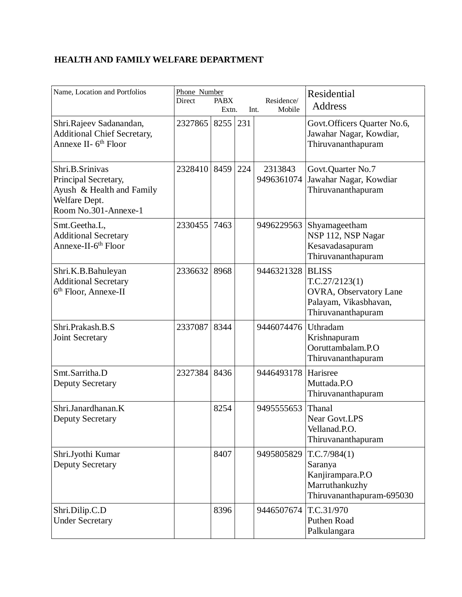## **HEALTH AND FAMILY WELFARE DEPARTMENT**

| Name, Location and Portfolios                                                                                 | Phone Number<br>Direct | <b>PABX</b><br>Extn. |     | Residence/<br>Mobile<br>Int. | Residential<br><b>Address</b>                                                                           |
|---------------------------------------------------------------------------------------------------------------|------------------------|----------------------|-----|------------------------------|---------------------------------------------------------------------------------------------------------|
| Shri.Rajeev Sadanandan,<br><b>Additional Chief Secretary,</b><br>Annexe II- 6 <sup>th</sup> Floor             | 2327865                | 8255                 | 231 |                              | Govt. Officers Quarter No.6,<br>Jawahar Nagar, Kowdiar,<br>Thiruvananthapuram                           |
| Shri.B.Srinivas<br>Principal Secretary,<br>Ayush & Health and Family<br>Welfare Dept.<br>Room No.301-Annexe-1 | 2328410                | 8459                 | 224 | 2313843<br>9496361074        | Govt.Quarter No.7<br>Jawahar Nagar, Kowdiar<br>Thiruvananthapuram                                       |
| Smt.Geetha.L,<br><b>Additional Secretary</b><br>Annexe-II-6 <sup>th</sup> Floor                               | 2330455                | 7463                 |     | 9496229563                   | Shyamageetham<br>NSP 112, NSP Nagar<br>Kesavadasapuram<br>Thiruvananthapuram                            |
| Shri.K.B.Bahuleyan<br><b>Additional Secretary</b><br>6 <sup>th</sup> Floor, Annexe-II                         | 2336632                | 8968                 |     | 9446321328                   | <b>BLISS</b><br>T.C.27/2123(1)<br>OVRA, Observatory Lane<br>Palayam, Vikasbhavan,<br>Thiruvananthapuram |
| Shri.Prakash.B.S<br>Joint Secretary                                                                           | 2337087                | 8344                 |     | 9446074476                   | Uthradam<br>Krishnapuram<br>Ooruttambalam.P.O<br>Thiruvananthapuram                                     |
| Smt.Sarritha.D<br><b>Deputy Secretary</b>                                                                     | 2327384                | 8436                 |     | 9446493178                   | Harisree<br>Muttada.P.O<br>Thiruvananthapuram                                                           |
| Shri.Janardhanan.K<br><b>Deputy Secretary</b>                                                                 |                        | 8254                 |     | 9495555653                   | Thanal<br><b>Near Govt.LPS</b><br>Vellanad.P.O.<br>Thiruvananthapuram                                   |
| Shri.Jyothi Kumar<br><b>Deputy Secretary</b>                                                                  |                        | 8407                 |     | 9495805829                   | T.C.7/984(1)<br>Saranya<br>Kanjirampara.P.O<br>Marruthankuzhy<br>Thiruvananthapuram-695030              |
| Shri.Dilip.C.D<br><b>Under Secretary</b>                                                                      |                        | 8396                 |     | 9446507674                   | T.C.31/970<br>Puthen Road<br>Palkulangara                                                               |